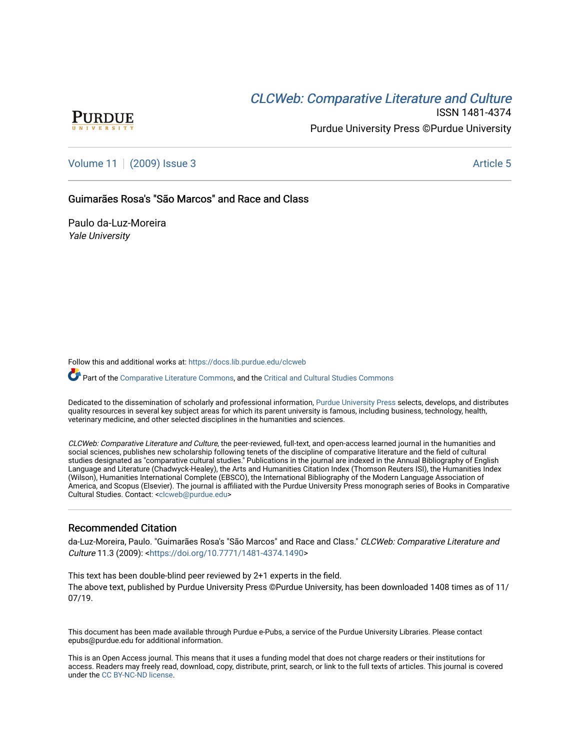# **CLCW[eb: Comparative Liter](https://docs.lib.purdue.edu/clcweb)ature and Culture**



ISSN 1481-4374 Purdue University Press ©Purdue University

[Volume 11](https://docs.lib.purdue.edu/clcweb/vol11) | [\(2009\) Issue 3](https://docs.lib.purdue.edu/clcweb/vol11/iss3) Article 5

### Guimarães Rosa's "São Marcos" and Race and Class

Paulo da-Luz-Moreira Yale University

Follow this and additional works at: [https://docs.lib.purdue.edu/clcweb](https://docs.lib.purdue.edu/clcweb?utm_source=docs.lib.purdue.edu%2Fclcweb%2Fvol11%2Fiss3%2F5&utm_medium=PDF&utm_campaign=PDFCoverPages)

Part of the [Comparative Literature Commons,](http://network.bepress.com/hgg/discipline/454?utm_source=docs.lib.purdue.edu%2Fclcweb%2Fvol11%2Fiss3%2F5&utm_medium=PDF&utm_campaign=PDFCoverPages) and the Critical and Cultural Studies Commons

Dedicated to the dissemination of scholarly and professional information, [Purdue University Press](http://www.thepress.purdue.edu/) selects, develops, and distributes quality resources in several key subject areas for which its parent university is famous, including business, technology, health, veterinary medicine, and other selected disciplines in the humanities and sciences.

CLCWeb: Comparative Literature and Culture, the peer-reviewed, full-text, and open-access learned journal in the humanities and social sciences, publishes new scholarship following tenets of the discipline of comparative literature and the field of cultural studies designated as "comparative cultural studies." Publications in the journal are indexed in the Annual Bibliography of English Language and Literature (Chadwyck-Healey), the Arts and Humanities Citation Index (Thomson Reuters ISI), the Humanities Index (Wilson), Humanities International Complete (EBSCO), the International Bibliography of the Modern Language Association of America, and Scopus (Elsevier). The journal is affiliated with the Purdue University Press monograph series of Books in Comparative Cultural Studies. Contact: [<clcweb@purdue.edu](mailto:clcweb@purdue.edu)>

## Recommended Citation

da-Luz-Moreira, Paulo. "Guimarães Rosa's "São Marcos" and Race and Class." CLCWeb: Comparative Literature and Culture 11.3 (2009): <[https://doi.org/10.7771/1481-4374.1490>](https://doi.org/10.7771/1481-4374.1490)

This text has been double-blind peer reviewed by 2+1 experts in the field. The above text, published by Purdue University Press ©Purdue University, has been downloaded 1408 times as of 11/ 07/19.

This document has been made available through Purdue e-Pubs, a service of the Purdue University Libraries. Please contact epubs@purdue.edu for additional information.

This is an Open Access journal. This means that it uses a funding model that does not charge readers or their institutions for access. Readers may freely read, download, copy, distribute, print, search, or link to the full texts of articles. This journal is covered under the [CC BY-NC-ND license.](https://creativecommons.org/licenses/by-nc-nd/4.0/)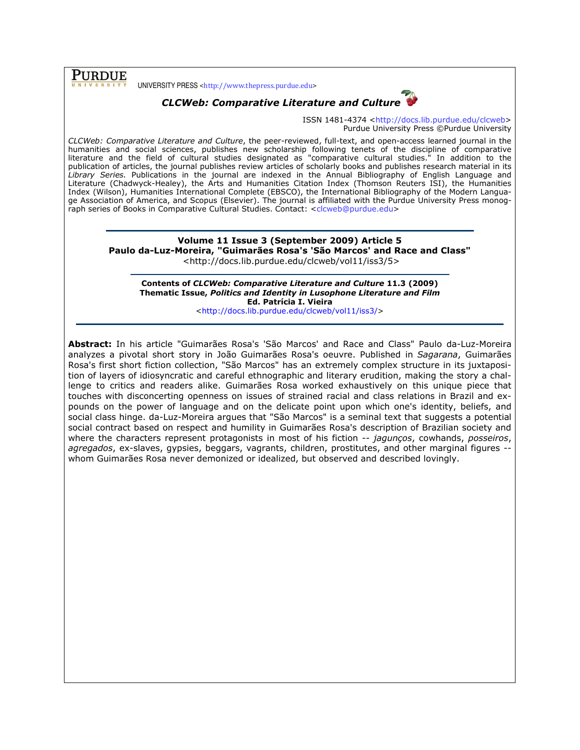**PURDUE** 

UNIVERSITY PRESS <http://www.thepress.purdue.edu>



ISSN 1481-4374 <http://docs.lib.purdue.edu/clcweb> Purdue University Press ©Purdue University

CLCWeb: Comparative Literature and Culture, the peer-reviewed, full-text, and open-access learned journal in the humanities and social sciences, publishes new scholarship following tenets of the discipline of comparative literature and the field of cultural studies designated as "comparative cultural studies." In addition to the publication of articles, the journal publishes review articles of scholarly books and publishes research material in its Library Series. Publications in the journal are indexed in the Annual Bibliography of English Language and Literature (Chadwyck-Healey), the Arts and Humanities Citation Index (Thomson Reuters ISI), the Humanities Index (Wilson), Humanities International Complete (EBSCO), the International Bibliography of the Modern Language Association of America, and Scopus (Elsevier). The journal is affiliated with the Purdue University Press monograph series of Books in Comparative Cultural Studies. Contact: <clcweb@purdue.edu>

#### Volume 11 Issue 3 (September 2009) Article 5 Paulo da-Luz-Moreira, "Guimarães Rosa's 'São Marcos' and Race and Class" <http://docs.lib.purdue.edu/clcweb/vol11/iss3/5>

Contents of CLCWeb: Comparative Literature and Culture 11.3 (2009) Thematic Issue, Politics and Identity in Lusophone Literature and Film Ed. Patrícia I. Vieira

<http://docs.lib.purdue.edu/clcweb/vol11/iss3/>

Abstract: In his article "Guimarães Rosa's 'São Marcos' and Race and Class" Paulo da-Luz-Moreira analyzes a pivotal short story in João Guimarães Rosa's oeuvre. Published in Sagarana, Guimarães Rosa's first short fiction collection, "São Marcos" has an extremely complex structure in its juxtaposition of layers of idiosyncratic and careful ethnographic and literary erudition, making the story a challenge to critics and readers alike. Guimarães Rosa worked exhaustively on this unique piece that touches with disconcerting openness on issues of strained racial and class relations in Brazil and expounds on the power of language and on the delicate point upon which one's identity, beliefs, and social class hinge. da-Luz-Moreira argues that "São Marcos" is a seminal text that suggests a potential social contract based on respect and humility in Guimarães Rosa's description of Brazilian society and where the characters represent protagonists in most of his fiction -- jagunços, cowhands, posseiros, agregados, ex-slaves, gypsies, beggars, vagrants, children, prostitutes, and other marginal figures whom Guimarães Rosa never demonized or idealized, but observed and described lovingly.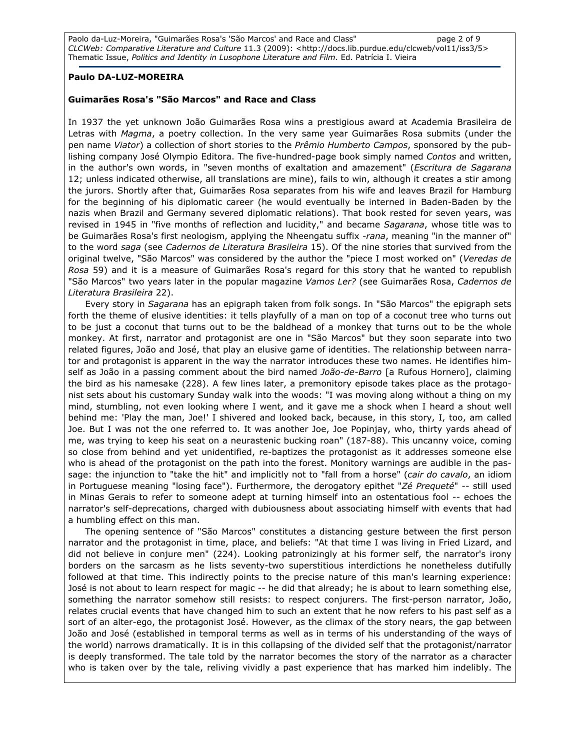Paolo da-Luz-Moreira, "Guimarães Rosa's 'São Marcos' and Race and Class" page 2 of 9 CLCWeb: Comparative Literature and Culture 11.3 (2009): <http://docs.lib.purdue.edu/clcweb/vol11/iss3/5> Thematic Issue, Politics and Identity in Lusophone Literature and Film. Ed. Patrícia I. Vieira

#### Paulo DA-LUZ-MOREIRA

#### Guimarães Rosa's "São Marcos" and Race and Class

In 1937 the yet unknown João Guimarães Rosa wins a prestigious award at Academia Brasileira de Letras with Magma, a poetry collection. In the very same year Guimarães Rosa submits (under the pen name Viator) a collection of short stories to the Prêmio Humberto Campos, sponsored by the publishing company José Olympio Editora. The five-hundred-page book simply named Contos and written, in the author's own words, in "seven months of exaltation and amazement" (Escritura de Sagarana 12; unless indicated otherwise, all translations are mine), fails to win, although it creates a stir among the jurors. Shortly after that, Guimarães Rosa separates from his wife and leaves Brazil for Hamburg for the beginning of his diplomatic career (he would eventually be interned in Baden-Baden by the nazis when Brazil and Germany severed diplomatic relations). That book rested for seven years, was revised in 1945 in "five months of reflection and lucidity," and became Sagarana, whose title was to be Guimarães Rosa's first neologism, applying the Nheengatu suffix -rana, meaning "in the manner of" to the word saga (see Cadernos de Literatura Brasileira 15). Of the nine stories that survived from the original twelve, "São Marcos" was considered by the author the "piece I most worked on" (Veredas de Rosa 59) and it is a measure of Guimarães Rosa's regard for this story that he wanted to republish "São Marcos" two years later in the popular magazine Vamos Ler? (see Guimarães Rosa, Cadernos de Literatura Brasileira 22).

Every story in Sagarana has an epigraph taken from folk songs. In "São Marcos" the epigraph sets forth the theme of elusive identities: it tells playfully of a man on top of a coconut tree who turns out to be just a coconut that turns out to be the baldhead of a monkey that turns out to be the whole monkey. At first, narrator and protagonist are one in "São Marcos" but they soon separate into two related figures, João and José, that play an elusive game of identities. The relationship between narrator and protagonist is apparent in the way the narrator introduces these two names. He identifies himself as João in a passing comment about the bird named *João-de-Barro* [a Rufous Hornero], claiming the bird as his namesake (228). A few lines later, a premonitory episode takes place as the protagonist sets about his customary Sunday walk into the woods: "I was moving along without a thing on my mind, stumbling, not even looking where I went, and it gave me a shock when I heard a shout well behind me: 'Play the man, Joe!' I shivered and looked back, because, in this story, I, too, am called Joe. But I was not the one referred to. It was another Joe, Joe Popinjay, who, thirty yards ahead of me, was trying to keep his seat on a neurastenic bucking roan" (187-88). This uncanny voice, coming so close from behind and yet unidentified, re-baptizes the protagonist as it addresses someone else who is ahead of the protagonist on the path into the forest. Monitory warnings are audible in the passage: the injunction to "take the hit" and implicitly not to "fall from a horse" (cair do cavalo, an idiom in Portuguese meaning "losing face"). Furthermore, the derogatory epithet "Zé Prequeté" -- still used in Minas Gerais to refer to someone adept at turning himself into an ostentatious fool -- echoes the narrator's self-deprecations, charged with dubiousness about associating himself with events that had a humbling effect on this man.

The opening sentence of "São Marcos" constitutes a distancing gesture between the first person narrator and the protagonist in time, place, and beliefs: "At that time I was living in Fried Lizard, and did not believe in conjure men" (224). Looking patronizingly at his former self, the narrator's irony borders on the sarcasm as he lists seventy-two superstitious interdictions he nonetheless dutifully followed at that time. This indirectly points to the precise nature of this man's learning experience: José is not about to learn respect for magic -- he did that already; he is about to learn something else, something the narrator somehow still resists: to respect conjurers. The first-person narrator, João, relates crucial events that have changed him to such an extent that he now refers to his past self as a sort of an alter-ego, the protagonist José. However, as the climax of the story nears, the gap between João and José (established in temporal terms as well as in terms of his understanding of the ways of the world) narrows dramatically. It is in this collapsing of the divided self that the protagonist/narrator is deeply transformed. The tale told by the narrator becomes the story of the narrator as a character who is taken over by the tale, reliving vividly a past experience that has marked him indelibly. The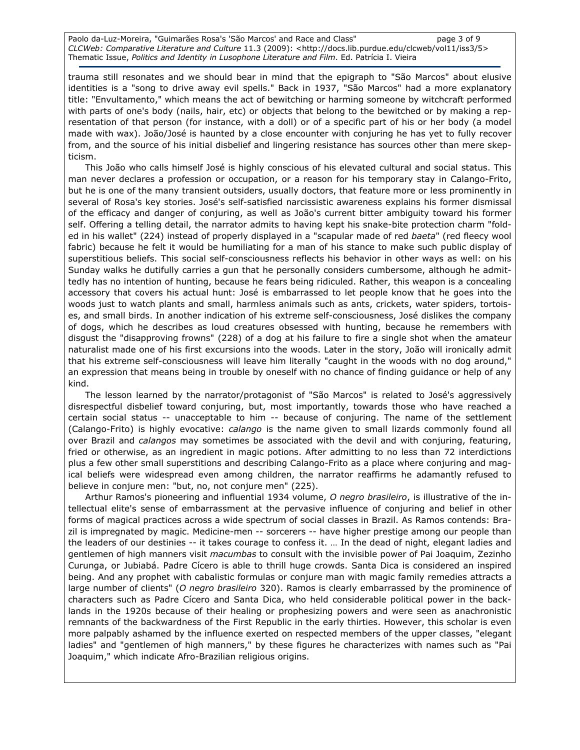Paolo da-Luz-Moreira, "Guimarães Rosa's 'São Marcos' and Race and Class" page 3 of 9 CLCWeb: Comparative Literature and Culture 11.3 (2009): <http://docs.lib.purdue.edu/clcweb/vol11/iss3/5> Thematic Issue, Politics and Identity in Lusophone Literature and Film. Ed. Patrícia I. Vieira

trauma still resonates and we should bear in mind that the epigraph to "São Marcos" about elusive identities is a "song to drive away evil spells." Back in 1937, "São Marcos" had a more explanatory title: "Envultamento," which means the act of bewitching or harming someone by witchcraft performed with parts of one's body (nails, hair, etc) or objects that belong to the bewitched or by making a representation of that person (for instance, with a doll) or of a specific part of his or her body (a model made with wax). João/José is haunted by a close encounter with conjuring he has yet to fully recover from, and the source of his initial disbelief and lingering resistance has sources other than mere skepticism.

This João who calls himself José is highly conscious of his elevated cultural and social status. This man never declares a profession or occupation, or a reason for his temporary stay in Calango-Frito, but he is one of the many transient outsiders, usually doctors, that feature more or less prominently in several of Rosa's key stories. José's self-satisfied narcissistic awareness explains his former dismissal of the efficacy and danger of conjuring, as well as João's current bitter ambiguity toward his former self. Offering a telling detail, the narrator admits to having kept his snake-bite protection charm "folded in his wallet" (224) instead of properly displayed in a "scapular made of red baeta" (red fleecy wool fabric) because he felt it would be humiliating for a man of his stance to make such public display of superstitious beliefs. This social self-consciousness reflects his behavior in other ways as well: on his Sunday walks he dutifully carries a gun that he personally considers cumbersome, although he admittedly has no intention of hunting, because he fears being ridiculed. Rather, this weapon is a concealing accessory that covers his actual hunt: José is embarrassed to let people know that he goes into the woods just to watch plants and small, harmless animals such as ants, crickets, water spiders, tortoises, and small birds. In another indication of his extreme self-consciousness, José dislikes the company of dogs, which he describes as loud creatures obsessed with hunting, because he remembers with disgust the "disapproving frowns" (228) of a dog at his failure to fire a single shot when the amateur naturalist made one of his first excursions into the woods. Later in the story, João will ironically admit that his extreme self-consciousness will leave him literally "caught in the woods with no dog around," an expression that means being in trouble by oneself with no chance of finding guidance or help of any kind.

The lesson learned by the narrator/protagonist of "São Marcos" is related to José's aggressively disrespectful disbelief toward conjuring, but, most importantly, towards those who have reached a certain social status -- unacceptable to him -- because of conjuring. The name of the settlement (Calango-Frito) is highly evocative: calango is the name given to small lizards commonly found all over Brazil and calangos may sometimes be associated with the devil and with conjuring, featuring, fried or otherwise, as an ingredient in magic potions. After admitting to no less than 72 interdictions plus a few other small superstitions and describing Calango-Frito as a place where conjuring and magical beliefs were widespread even among children, the narrator reaffirms he adamantly refused to believe in conjure men: "but, no, not conjure men" (225).

Arthur Ramos's pioneering and influential 1934 volume, O negro brasileiro, is illustrative of the intellectual elite's sense of embarrassment at the pervasive influence of conjuring and belief in other forms of magical practices across a wide spectrum of social classes in Brazil. As Ramos contends: Brazil is impregnated by magic. Medicine-men -- sorcerers -- have higher prestige among our people than the leaders of our destinies -- it takes courage to confess it. … In the dead of night, elegant ladies and gentlemen of high manners visit *macumbas* to consult with the invisible power of Pai Joaquim, Zezinho Curunga, or Jubiabá. Padre Cícero is able to thrill huge crowds. Santa Dica is considered an inspired being. And any prophet with cabalistic formulas or conjure man with magic family remedies attracts a large number of clients" (O negro brasileiro 320). Ramos is clearly embarrassed by the prominence of characters such as Padre Cícero and Santa Dica, who held considerable political power in the backlands in the 1920s because of their healing or prophesizing powers and were seen as anachronistic remnants of the backwardness of the First Republic in the early thirties. However, this scholar is even more palpably ashamed by the influence exerted on respected members of the upper classes, "elegant ladies" and "gentlemen of high manners," by these figures he characterizes with names such as "Pai Joaquim," which indicate Afro-Brazilian religious origins.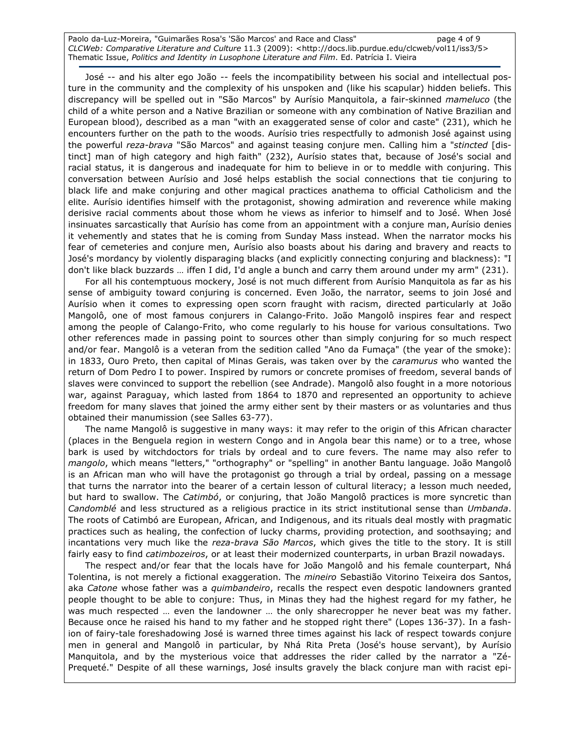Paolo da-Luz-Moreira, "Guimarães Rosa's 'São Marcos' and Race and Class" page 4 of 9 CLCWeb: Comparative Literature and Culture 11.3 (2009): <http://docs.lib.purdue.edu/clcweb/vol11/iss3/5> Thematic Issue, Politics and Identity in Lusophone Literature and Film. Ed. Patrícia I. Vieira

José -- and his alter ego João -- feels the incompatibility between his social and intellectual posture in the community and the complexity of his unspoken and (like his scapular) hidden beliefs. This discrepancy will be spelled out in "São Marcos" by Aurísio Manquitola, a fair-skinned mameluco (the child of a white person and a Native Brazilian or someone with any combination of Native Brazilian and European blood), described as a man "with an exaggerated sense of color and caste" (231), which he encounters further on the path to the woods. Aurísio tries respectfully to admonish José against using the powerful reza-brava "São Marcos" and against teasing conjure men. Calling him a "stincted [distinct] man of high category and high faith" (232), Aurísio states that, because of José's social and racial status, it is dangerous and inadequate for him to believe in or to meddle with conjuring. This conversation between Aurísio and José helps establish the social connections that tie conjuring to black life and make conjuring and other magical practices anathema to official Catholicism and the elite. Aurísio identifies himself with the protagonist, showing admiration and reverence while making derisive racial comments about those whom he views as inferior to himself and to José. When José insinuates sarcastically that Aurísio has come from an appointment with a conjure man, Aurísio denies it vehemently and states that he is coming from Sunday Mass instead. When the narrator mocks his fear of cemeteries and conjure men, Aurísio also boasts about his daring and bravery and reacts to José's mordancy by violently disparaging blacks (and explicitly connecting conjuring and blackness): "I don't like black buzzards … iffen I did, I'd angle a bunch and carry them around under my arm" (231).

For all his contemptuous mockery, José is not much different from Aurísio Manquitola as far as his sense of ambiguity toward conjuring is concerned. Even João, the narrator, seems to join José and Aurísio when it comes to expressing open scorn fraught with racism, directed particularly at João Mangolô, one of most famous conjurers in Calango-Frito. João Mangolô inspires fear and respect among the people of Calango-Frito, who come regularly to his house for various consultations. Two other references made in passing point to sources other than simply conjuring for so much respect and/or fear. Mangolô is a veteran from the sedition called "Ano da Fumaça" (the year of the smoke): in 1833, Ouro Preto, then capital of Minas Gerais, was taken over by the *caramurus* who wanted the return of Dom Pedro I to power. Inspired by rumors or concrete promises of freedom, several bands of slaves were convinced to support the rebellion (see Andrade). Mangolô also fought in a more notorious war, against Paraguay, which lasted from 1864 to 1870 and represented an opportunity to achieve freedom for many slaves that joined the army either sent by their masters or as voluntaries and thus obtained their manumission (see Salles 63-77).

The name Mangolô is suggestive in many ways: it may refer to the origin of this African character (places in the Benguela region in western Congo and in Angola bear this name) or to a tree, whose bark is used by witchdoctors for trials by ordeal and to cure fevers. The name may also refer to mangolo, which means "letters," "orthography" or "spelling" in another Bantu language. João Mangolô is an African man who will have the protagonist go through a trial by ordeal, passing on a message that turns the narrator into the bearer of a certain lesson of cultural literacy; a lesson much needed, but hard to swallow. The Catimbó, or conjuring, that João Mangolô practices is more syncretic than Candomblé and less structured as a religious practice in its strict institutional sense than Umbanda. The roots of Catimbó are European, African, and Indigenous, and its rituals deal mostly with pragmatic practices such as healing, the confection of lucky charms, providing protection, and soothsaying; and incantations very much like the reza-brava São Marcos, which gives the title to the story. It is still fairly easy to find *catimbozeiros*, or at least their modernized counterparts, in urban Brazil nowadays.

The respect and/or fear that the locals have for João Mangolô and his female counterpart, Nhá Tolentina, is not merely a fictional exaggeration. The mineiro Sebastião Vitorino Teixeira dos Santos, aka Catone whose father was a quimbandeiro, recalls the respect even despotic landowners granted people thought to be able to conjure: Thus, in Minas they had the highest regard for my father, he was much respected ... even the landowner ... the only sharecropper he never beat was my father. Because once he raised his hand to my father and he stopped right there" (Lopes 136-37). In a fashion of fairy-tale foreshadowing José is warned three times against his lack of respect towards conjure men in general and Mangolô in particular, by Nhá Rita Preta (José's house servant), by Aurísio Manquitola, and by the mysterious voice that addresses the rider called by the narrator a "Zé-Prequeté." Despite of all these warnings, José insults gravely the black conjure man with racist epi-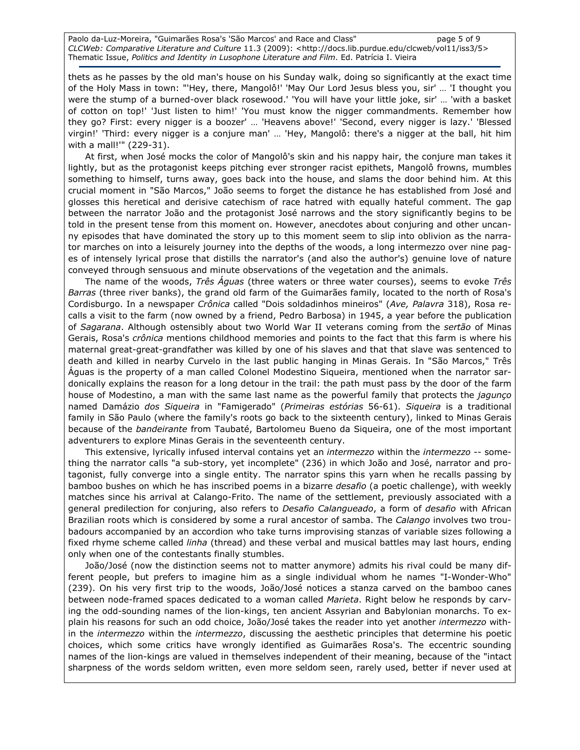Paolo da-Luz-Moreira, "Guimarães Rosa's 'São Marcos' and Race and Class" page 5 of 9 CLCWeb: Comparative Literature and Culture 11.3 (2009): <http://docs.lib.purdue.edu/clcweb/vol11/iss3/5> Thematic Issue, Politics and Identity in Lusophone Literature and Film. Ed. Patrícia I. Vieira

thets as he passes by the old man's house on his Sunday walk, doing so significantly at the exact time of the Holy Mass in town: "'Hey, there, Mangolô!' 'May Our Lord Jesus bless you, sir' … 'I thought you were the stump of a burned-over black rosewood.' 'You will have your little joke, sir' … 'with a basket of cotton on top!' 'Just listen to him!' 'You must know the nigger commandments. Remember how they go? First: every nigger is a boozer' … 'Heavens above!' 'Second, every nigger is lazy.' 'Blessed virgin!' 'Third: every nigger is a conjure man' … 'Hey, Mangolô: there's a nigger at the ball, hit him with a mall!'" (229-31).

At first, when José mocks the color of Mangolô's skin and his nappy hair, the conjure man takes it lightly, but as the protagonist keeps pitching ever stronger racist epithets, Mangolô frowns, mumbles something to himself, turns away, goes back into the house, and slams the door behind him. At this crucial moment in "São Marcos," João seems to forget the distance he has established from José and glosses this heretical and derisive catechism of race hatred with equally hateful comment. The gap between the narrator João and the protagonist José narrows and the story significantly begins to be told in the present tense from this moment on. However, anecdotes about conjuring and other uncanny episodes that have dominated the story up to this moment seem to slip into oblivion as the narrator marches on into a leisurely journey into the depths of the woods, a long intermezzo over nine pages of intensely lyrical prose that distills the narrator's (and also the author's) genuine love of nature conveyed through sensuous and minute observations of the vegetation and the animals.

The name of the woods, Três Águas (three waters or three water courses), seems to evoke Três Barras (three river banks), the grand old farm of the Guimarães family, located to the north of Rosa's Cordisburgo. In a newspaper Crônica called "Dois soldadinhos mineiros" (Ave, Palavra 318), Rosa recalls a visit to the farm (now owned by a friend, Pedro Barbosa) in 1945, a year before the publication of Sagarana. Although ostensibly about two World War II veterans coming from the sertão of Minas Gerais, Rosa's *crônica* mentions childhood memories and points to the fact that this farm is where his maternal great-great-grandfather was killed by one of his slaves and that that slave was sentenced to death and killed in nearby Curvelo in the last public hanging in Minas Gerais. In "São Marcos," Três Águas is the property of a man called Colonel Modestino Siqueira, mentioned when the narrator sardonically explains the reason for a long detour in the trail: the path must pass by the door of the farm house of Modestino, a man with the same last name as the powerful family that protects the *jagunço* named Damázio dos Siqueira in "Famigerado" (Primeiras estórias 56-61). Siqueira is a traditional family in São Paulo (where the family's roots go back to the sixteenth century), linked to Minas Gerais because of the bandeirante from Taubaté, Bartolomeu Bueno da Siqueira, one of the most important adventurers to explore Minas Gerais in the seventeenth century.

This extensive, lyrically infused interval contains yet an *intermezzo* within the *intermezzo --* something the narrator calls "a sub-story, yet incomplete" (236) in which João and José, narrator and protagonist, fully converge into a single entity. The narrator spins this yarn when he recalls passing by bamboo bushes on which he has inscribed poems in a bizarre desafio (a poetic challenge), with weekly matches since his arrival at Calango-Frito. The name of the settlement, previously associated with a general predilection for conjuring, also refers to Desafio Calangueado, a form of desafio with African Brazilian roots which is considered by some a rural ancestor of samba. The Calango involves two troubadours accompanied by an accordion who take turns improvising stanzas of variable sizes following a fixed rhyme scheme called *linha* (thread) and these verbal and musical battles may last hours, ending only when one of the contestants finally stumbles.

João/José (now the distinction seems not to matter anymore) admits his rival could be many different people, but prefers to imagine him as a single individual whom he names "I-Wonder-Who" (239). On his very first trip to the woods, João/José notices a stanza carved on the bamboo canes between node-framed spaces dedicated to a woman called Marieta. Right below he responds by carving the odd-sounding names of the lion-kings, ten ancient Assyrian and Babylonian monarchs. To explain his reasons for such an odd choice, João/José takes the reader into yet another intermezzo within the intermezzo within the intermezzo, discussing the aesthetic principles that determine his poetic choices, which some critics have wrongly identified as Guimarães Rosa's. The eccentric sounding names of the lion-kings are valued in themselves independent of their meaning, because of the "intact sharpness of the words seldom written, even more seldom seen, rarely used, better if never used at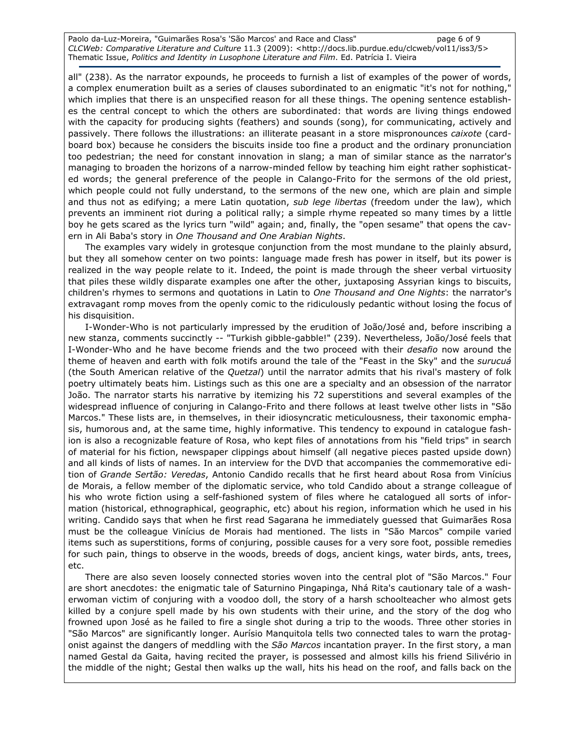Paolo da-Luz-Moreira, "Guimarães Rosa's 'São Marcos' and Race and Class" page 6 of 9 CLCWeb: Comparative Literature and Culture 11.3 (2009): <http://docs.lib.purdue.edu/clcweb/vol11/iss3/5> Thematic Issue, Politics and Identity in Lusophone Literature and Film. Ed. Patrícia I. Vieira

all" (238). As the narrator expounds, he proceeds to furnish a list of examples of the power of words, a complex enumeration built as a series of clauses subordinated to an enigmatic "it's not for nothing," which implies that there is an unspecified reason for all these things. The opening sentence establishes the central concept to which the others are subordinated: that words are living things endowed with the capacity for producing sights (feathers) and sounds (song), for communicating, actively and passively. There follows the illustrations: an illiterate peasant in a store mispronounces caixote (cardboard box) because he considers the biscuits inside too fine a product and the ordinary pronunciation too pedestrian; the need for constant innovation in slang; a man of similar stance as the narrator's managing to broaden the horizons of a narrow-minded fellow by teaching him eight rather sophisticated words; the general preference of the people in Calango-Frito for the sermons of the old priest, which people could not fully understand, to the sermons of the new one, which are plain and simple and thus not as edifying; a mere Latin quotation, sub lege libertas (freedom under the law), which prevents an imminent riot during a political rally; a simple rhyme repeated so many times by a little boy he gets scared as the lyrics turn "wild" again; and, finally, the "open sesame" that opens the cavern in Ali Baba's story in One Thousand and One Arabian Nights.

The examples vary widely in grotesque conjunction from the most mundane to the plainly absurd, but they all somehow center on two points: language made fresh has power in itself, but its power is realized in the way people relate to it. Indeed, the point is made through the sheer verbal virtuosity that piles these wildly disparate examples one after the other, juxtaposing Assyrian kings to biscuits, children's rhymes to sermons and quotations in Latin to One Thousand and One Nights: the narrator's extravagant romp moves from the openly comic to the ridiculously pedantic without losing the focus of his disquisition.

I-Wonder-Who is not particularly impressed by the erudition of João/José and, before inscribing a new stanza, comments succinctly -- "Turkish gibble-gabble!" (239). Nevertheless, João/José feels that I-Wonder-Who and he have become friends and the two proceed with their *desafio* now around the theme of heaven and earth with folk motifs around the tale of the "Feast in the Sky" and the surucuá (the South American relative of the Quetzal) until the narrator admits that his rival's mastery of folk poetry ultimately beats him. Listings such as this one are a specialty and an obsession of the narrator João. The narrator starts his narrative by itemizing his 72 superstitions and several examples of the widespread influence of conjuring in Calango-Frito and there follows at least twelve other lists in "São Marcos." These lists are, in themselves, in their idiosyncratic meticulousness, their taxonomic emphasis, humorous and, at the same time, highly informative. This tendency to expound in catalogue fashion is also a recognizable feature of Rosa, who kept files of annotations from his "field trips" in search of material for his fiction, newspaper clippings about himself (all negative pieces pasted upside down) and all kinds of lists of names. In an interview for the DVD that accompanies the commemorative edition of Grande Sertão: Veredas, Antonio Candido recalls that he first heard about Rosa from Vinícius de Morais, a fellow member of the diplomatic service, who told Candido about a strange colleague of his who wrote fiction using a self-fashioned system of files where he catalogued all sorts of information (historical, ethnographical, geographic, etc) about his region, information which he used in his writing. Candido says that when he first read Sagarana he immediately guessed that Guimarães Rosa must be the colleague Vinícius de Morais had mentioned. The lists in "São Marcos" compile varied items such as superstitions, forms of conjuring, possible causes for a very sore foot, possible remedies for such pain, things to observe in the woods, breeds of dogs, ancient kings, water birds, ants, trees, etc.

There are also seven loosely connected stories woven into the central plot of "São Marcos." Four are short anecdotes: the enigmatic tale of Saturnino Pingapinga, Nhá Rita's cautionary tale of a washerwoman victim of conjuring with a voodoo doll, the story of a harsh schoolteacher who almost gets killed by a conjure spell made by his own students with their urine, and the story of the dog who frowned upon José as he failed to fire a single shot during a trip to the woods. Three other stories in "São Marcos" are significantly longer. Aurísio Manquitola tells two connected tales to warn the protagonist against the dangers of meddling with the São Marcos incantation prayer. In the first story, a man named Gestal da Gaita, having recited the prayer, is possessed and almost kills his friend Silivério in the middle of the night; Gestal then walks up the wall, hits his head on the roof, and falls back on the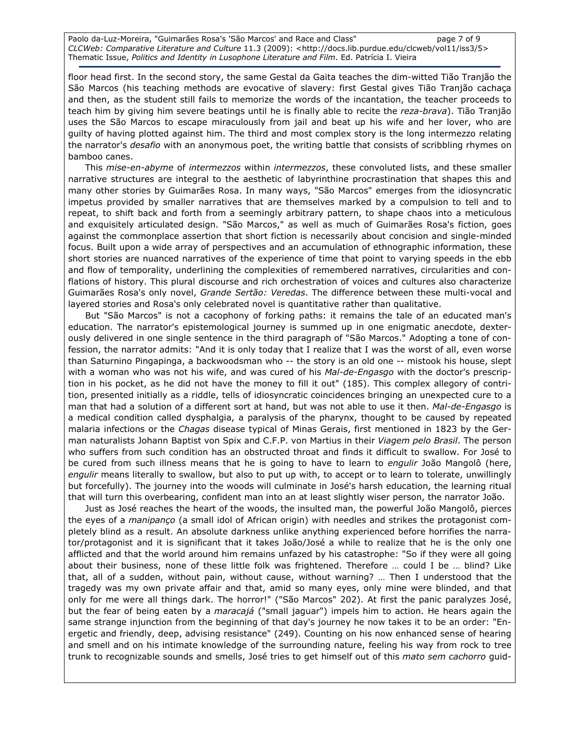Paolo da-Luz-Moreira, "Guimarães Rosa's 'São Marcos' and Race and Class" page 7 of 9 CLCWeb: Comparative Literature and Culture 11.3 (2009): <http://docs.lib.purdue.edu/clcweb/vol11/iss3/5> Thematic Issue, Politics and Identity in Lusophone Literature and Film. Ed. Patrícia I. Vieira

floor head first. In the second story, the same Gestal da Gaita teaches the dim-witted Tião Tranjão the São Marcos (his teaching methods are evocative of slavery: first Gestal gives Tião Tranjão cachaça and then, as the student still fails to memorize the words of the incantation, the teacher proceeds to teach him by giving him severe beatings until he is finally able to recite the reza-brava). Tião Tranjão uses the São Marcos to escape miraculously from jail and beat up his wife and her lover, who are guilty of having plotted against him. The third and most complex story is the long intermezzo relating the narrator's desafio with an anonymous poet, the writing battle that consists of scribbling rhymes on bamboo canes.

This mise-en-abyme of intermezzos within intermezzos, these convoluted lists, and these smaller narrative structures are integral to the aesthetic of labyrinthine procrastination that shapes this and many other stories by Guimarães Rosa. In many ways, "São Marcos" emerges from the idiosyncratic impetus provided by smaller narratives that are themselves marked by a compulsion to tell and to repeat, to shift back and forth from a seemingly arbitrary pattern, to shape chaos into a meticulous and exquisitely articulated design. "São Marcos," as well as much of Guimarães Rosa's fiction, goes against the commonplace assertion that short fiction is necessarily about concision and single-minded focus. Built upon a wide array of perspectives and an accumulation of ethnographic information, these short stories are nuanced narratives of the experience of time that point to varying speeds in the ebb and flow of temporality, underlining the complexities of remembered narratives, circularities and conflations of history. This plural discourse and rich orchestration of voices and cultures also characterize Guimarães Rosa's only novel, Grande Sertão: Veredas. The difference between these multi-vocal and layered stories and Rosa's only celebrated novel is quantitative rather than qualitative.

But "São Marcos" is not a cacophony of forking paths: it remains the tale of an educated man's education. The narrator's epistemological journey is summed up in one enigmatic anecdote, dexterously delivered in one single sentence in the third paragraph of "São Marcos." Adopting a tone of confession, the narrator admits: "And it is only today that I realize that I was the worst of all, even worse than Saturnino Pingapinga, a backwoodsman who -- the story is an old one -- mistook his house, slept with a woman who was not his wife, and was cured of his Mal-de-Engasgo with the doctor's prescription in his pocket, as he did not have the money to fill it out" (185). This complex allegory of contrition, presented initially as a riddle, tells of idiosyncratic coincidences bringing an unexpected cure to a man that had a solution of a different sort at hand, but was not able to use it then. Mal-de-Engasgo is a medical condition called dysphalgia, a paralysis of the pharynx, thought to be caused by repeated malaria infections or the *Chagas* disease typical of Minas Gerais, first mentioned in 1823 by the German naturalists Johann Baptist von Spix and C.F.P. von Martius in their Viagem pelo Brasil. The person who suffers from such condition has an obstructed throat and finds it difficult to swallow. For José to be cured from such illness means that he is going to have to learn to engulir João Mangolô (here, engulir means literally to swallow, but also to put up with, to accept or to learn to tolerate, unwillingly but forcefully). The journey into the woods will culminate in José's harsh education, the learning ritual that will turn this overbearing, confident man into an at least slightly wiser person, the narrator João.

Just as José reaches the heart of the woods, the insulted man, the powerful João Mangolô, pierces the eyes of a manipanço (a small idol of African origin) with needles and strikes the protagonist completely blind as a result. An absolute darkness unlike anything experienced before horrifies the narrator/protagonist and it is significant that it takes João/José a while to realize that he is the only one afflicted and that the world around him remains unfazed by his catastrophe: "So if they were all going about their business, none of these little folk was frightened. Therefore … could I be … blind? Like that, all of a sudden, without pain, without cause, without warning? … Then I understood that the tragedy was my own private affair and that, amid so many eyes, only mine were blinded, and that only for me were all things dark. The horror!" ("São Marcos" 202). At first the panic paralyzes José, but the fear of being eaten by a *maracajá* ("small jaguar") impels him to action. He hears again the same strange injunction from the beginning of that day's journey he now takes it to be an order: "Energetic and friendly, deep, advising resistance" (249). Counting on his now enhanced sense of hearing and smell and on his intimate knowledge of the surrounding nature, feeling his way from rock to tree trunk to recognizable sounds and smells, José tries to get himself out of this mato sem cachorro guid-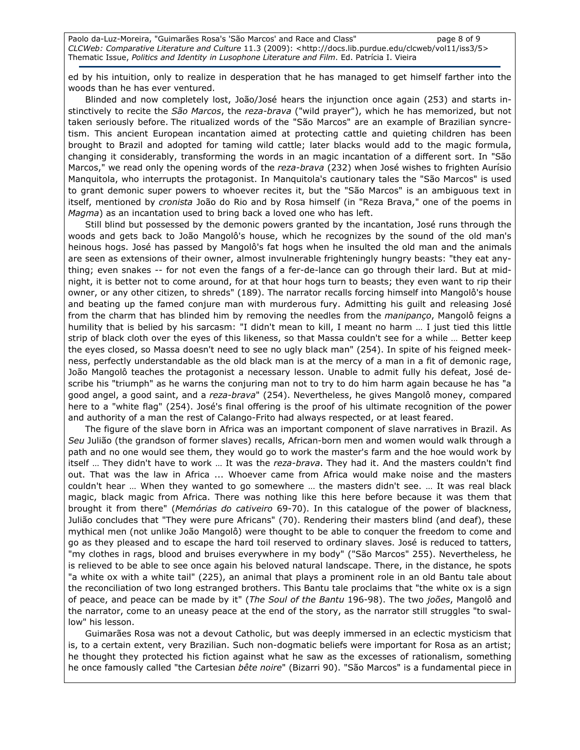Paolo da-Luz-Moreira, "Guimarães Rosa's 'São Marcos' and Race and Class" page 8 of 9 CLCWeb: Comparative Literature and Culture 11.3 (2009): <http://docs.lib.purdue.edu/clcweb/vol11/iss3/5> Thematic Issue, Politics and Identity in Lusophone Literature and Film. Ed. Patrícia I. Vieira

ed by his intuition, only to realize in desperation that he has managed to get himself farther into the woods than he has ever ventured.

Blinded and now completely lost, João/José hears the injunction once again (253) and starts instinctively to recite the São Marcos, the reza-brava ("wild prayer"), which he has memorized, but not taken seriously before. The ritualized words of the "São Marcos" are an example of Brazilian syncretism. This ancient European incantation aimed at protecting cattle and quieting children has been brought to Brazil and adopted for taming wild cattle; later blacks would add to the magic formula, changing it considerably, transforming the words in an magic incantation of a different sort. In "São Marcos," we read only the opening words of the reza-brava (232) when José wishes to frighten Aurísio Manquitola, who interrupts the protagonist. In Manquitola's cautionary tales the "São Marcos" is used to grant demonic super powers to whoever recites it, but the "São Marcos" is an ambiguous text in itself, mentioned by cronista João do Rio and by Rosa himself (in "Reza Brava," one of the poems in Magma) as an incantation used to bring back a loved one who has left.

Still blind but possessed by the demonic powers granted by the incantation, José runs through the woods and gets back to João Mangolô's house, which he recognizes by the sound of the old man's heinous hogs. José has passed by Mangolô's fat hogs when he insulted the old man and the animals are seen as extensions of their owner, almost invulnerable frighteningly hungry beasts: "they eat anything; even snakes -- for not even the fangs of a fer-de-lance can go through their lard. But at midnight, it is better not to come around, for at that hour hogs turn to beasts; they even want to rip their owner, or any other citizen, to shreds" (189). The narrator recalls forcing himself into Mangolô's house and beating up the famed conjure man with murderous fury. Admitting his guilt and releasing José from the charm that has blinded him by removing the needles from the *manipanço*, Mangolô feigns a humility that is belied by his sarcasm: "I didn't mean to kill, I meant no harm … I just tied this little strip of black cloth over the eyes of this likeness, so that Massa couldn't see for a while … Better keep the eyes closed, so Massa doesn't need to see no ugly black man" (254). In spite of his feigned meekness, perfectly understandable as the old black man is at the mercy of a man in a fit of demonic rage, João Mangolô teaches the protagonist a necessary lesson. Unable to admit fully his defeat, José describe his "triumph" as he warns the conjuring man not to try to do him harm again because he has "a good angel, a good saint, and a reza-brava" (254). Nevertheless, he gives Mangolô money, compared here to a "white flag" (254). José's final offering is the proof of his ultimate recognition of the power and authority of a man the rest of Calango-Frito had always respected, or at least feared.

The figure of the slave born in Africa was an important component of slave narratives in Brazil. As Seu Julião (the grandson of former slaves) recalls, African-born men and women would walk through a path and no one would see them, they would go to work the master's farm and the hoe would work by itself ... They didn't have to work ... It was the reza-brava. They had it. And the masters couldn't find out. That was the law in Africa ... Whoever came from Africa would make noise and the masters couldn't hear … When they wanted to go somewhere … the masters didn't see. … It was real black magic, black magic from Africa. There was nothing like this here before because it was them that brought it from there" (Memórias do cativeiro 69-70). In this catalogue of the power of blackness, Julião concludes that "They were pure Africans" (70). Rendering their masters blind (and deaf), these mythical men (not unlike João Mangolô) were thought to be able to conquer the freedom to come and go as they pleased and to escape the hard toil reserved to ordinary slaves. José is reduced to tatters, "my clothes in rags, blood and bruises everywhere in my body" ("São Marcos" 255). Nevertheless, he is relieved to be able to see once again his beloved natural landscape. There, in the distance, he spots "a white ox with a white tail" (225), an animal that plays a prominent role in an old Bantu tale about the reconciliation of two long estranged brothers. This Bantu tale proclaims that "the white ox is a sign of peace, and peace can be made by it" (The Soul of the Bantu 196-98). The two joões, Mangolô and the narrator, come to an uneasy peace at the end of the story, as the narrator still struggles "to swallow" his lesson.

Guimarães Rosa was not a devout Catholic, but was deeply immersed in an eclectic mysticism that is, to a certain extent, very Brazilian. Such non-dogmatic beliefs were important for Rosa as an artist; he thought they protected his fiction against what he saw as the excesses of rationalism, something he once famously called "the Cartesian bête noire" (Bizarri 90). "São Marcos" is a fundamental piece in